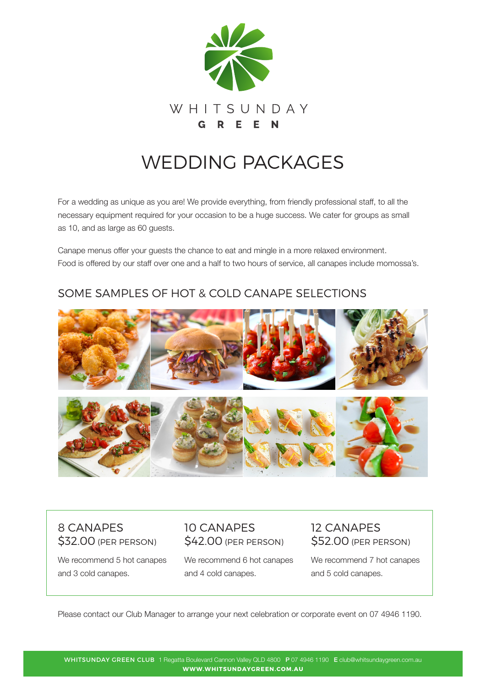

# WEDDING PACKAGES

For a wedding as unique as you are! We provide everything, from friendly professional staff, to all the necessary equipment required for your occasion to be a huge success. We cater for groups as small as 10, and as large as 60 guests.

Canape menus offer your guests the chance to eat and mingle in a more relaxed environment. Food is offered by our staff over one and a half to two hours of service, all canapes include momossa's.

#### SOME SAMPLES OF HOT & COLD CANAPE SELECTIONS



#### 8 CANAPES \$32.00 (PER PERSON)

10 CANAPES \$42.00 (PER PERSON)

We recommend 5 hot canapes and 3 cold canapes.

We recommend 6 hot canapes and 4 cold canapes.

12 CANAPES \$52.00 (PER PERSON)

We recommend 7 hot canapes and 5 cold canapes.

Please contact our Club Manager to arrange your next celebration or corporate event on 07 4946 1190.